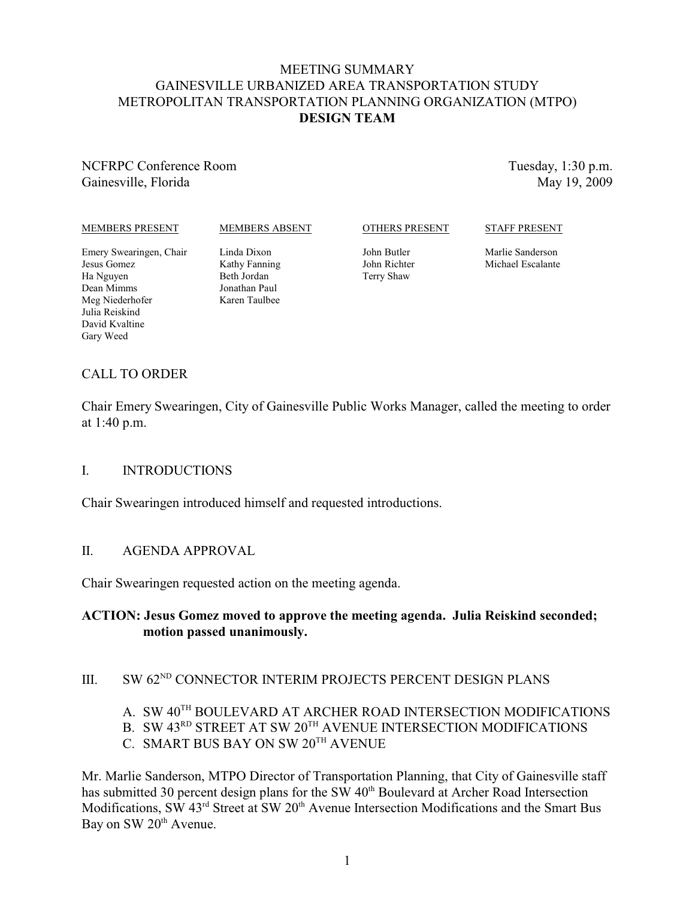## MEETING SUMMARY GAINESVILLE URBANIZED AREA TRANSPORTATION STUDY METROPOLITAN TRANSPORTATION PLANNING ORGANIZATION (MTPO) **DESIGN TEAM**

NCFRPC Conference Room Gainesville, Florida

Tuesday, 1:30 p.m. May 19, 2009

#### MEMBERS PRESENT

#### MEMBERS ABSENT

#### OTHERS PRESENT

#### STAFF PRESENT

Emery Swearingen, Chair Jesus Gomez Ha Nguyen Dean Mimms Meg Niederhofer Julia Reiskind David Kvaltine Gary Weed

Linda Dixon Kathy Fanning Beth Jordan Jonathan Paul Karen Taulbee

John Butler John Richter Terry Shaw

Marlie Sanderson Michael Escalante

# CALL TO ORDER

Chair Emery Swearingen, City of Gainesville Public Works Manager, called the meeting to order at 1:40 p.m.

#### I. INTRODUCTIONS

Chair Swearingen introduced himself and requested introductions.

#### II. AGENDA APPROVAL

Chair Swearingen requested action on the meeting agenda.

## **ACTION: Jesus Gomez moved to approve the meeting agenda. Julia Reiskind seconded; motion passed unanimously.**

# III. SW  $62^{ND}$  CONNECTOR INTERIM PROJECTS PERCENT DESIGN PLANS

- A. SW 40<sup>TH</sup> BOULEVARD AT ARCHER ROAD INTERSECTION MODIFICATIONS
- B. SW 43<sup>RD</sup> STREET AT SW  $20^{TH}$  AVENUE INTERSECTION MODIFICATIONS
- C. SMART BUS BAY ON SW  $20^{\text{TH}}$  AVENUE

Mr. Marlie Sanderson, MTPO Director of Transportation Planning, that City of Gainesville staff has submitted 30 percent design plans for the SW 40<sup>th</sup> Boulevard at Archer Road Intersection Modifications, SW 43<sup>rd</sup> Street at SW 20<sup>th</sup> Avenue Intersection Modifications and the Smart Bus Bay on SW 20<sup>th</sup> Avenue.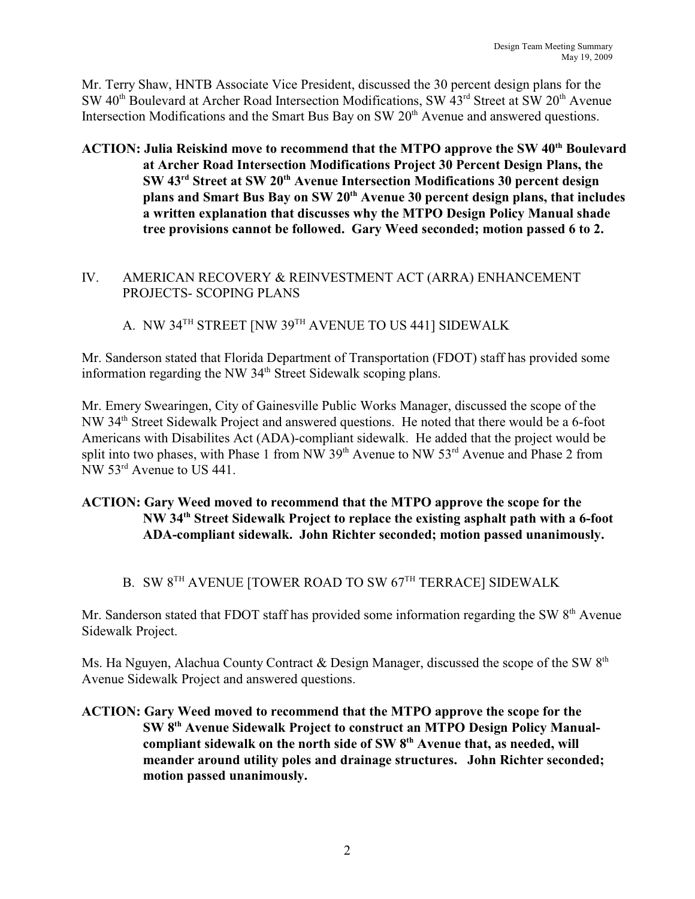Mr. Terry Shaw, HNTB Associate Vice President, discussed the 30 percent design plans for the SW 40<sup>th</sup> Boulevard at Archer Road Intersection Modifications, SW 43<sup>rd</sup> Street at SW 20<sup>th</sup> Avenue Intersection Modifications and the Smart Bus Bay on SW  $20<sup>th</sup>$  Avenue and answered questions.

ACTION: Julia Reiskind move to recommend that the MTPO approve the SW 40<sup>th</sup> Boulevard **at Archer Road Intersection Modifications Project 30 Percent Design Plans, the SW 43<sup>rd</sup> Street at SW 20<sup>th</sup> Avenue Intersection Modifications 30 percent design** plans and Smart Bus Bay on SW 20<sup>th</sup> Avenue 30 percent design plans, that includes **a written explanation that discusses why the MTPO Design Policy Manual shade tree provisions cannot be followed. Gary Weed seconded; motion passed 6 to 2.**

## IV. AMERICAN RECOVERY & REINVESTMENT ACT (ARRA) ENHANCEMENT PROJECTS- SCOPING PLANS

# A. NW 34 $^{TH}$  STREET [NW 39 $^{TH}$  AVENUE TO US 441] SIDEWALK

Mr. Sanderson stated that Florida Department of Transportation (FDOT) staff has provided some information regarding the NW 34<sup>th</sup> Street Sidewalk scoping plans.

Mr. Emery Swearingen, City of Gainesville Public Works Manager, discussed the scope of the NW 34<sup>th</sup> Street Sidewalk Project and answered questions. He noted that there would be a 6-foot Americans with Disabilites Act (ADA)-compliant sidewalk. He added that the project would be split into two phases, with Phase 1 from NW  $39<sup>th</sup>$  Avenue to NW  $53<sup>rd</sup>$  Avenue and Phase 2 from NW  $53<sup>rd</sup>$  Avenue to US 441.

# **ACTION: Gary Weed moved to recommend that the MTPO approve the scope for the NW** 34<sup>th</sup> Street Sidewalk Project to replace the existing asphalt path with a 6-foot **ADA-compliant sidewalk. John Richter seconded; motion passed unanimously.**

# B. SW  $8^{TH}$  AVENUE [TOWER ROAD TO SW  $67^{TH}$  TERRACE] SIDEWALK

Mr. Sanderson stated that FDOT staff has provided some information regarding the SW  $8<sup>th</sup>$  Avenue Sidewalk Project.

Ms. Ha Nguyen, Alachua County Contract & Design Manager, discussed the scope of the SW  $8<sup>th</sup>$ Avenue Sidewalk Project and answered questions.

## **ACTION: Gary Weed moved to recommend that the MTPO approve the scope for the SW 8<sup>th</sup> Avenue Sidewalk Project to construct an MTPO Design Policy Manual**compliant sidewalk on the north side of SW 8<sup>th</sup> Avenue that, as needed, will **meander around utility poles and drainage structures. John Richter seconded; motion passed unanimously.**